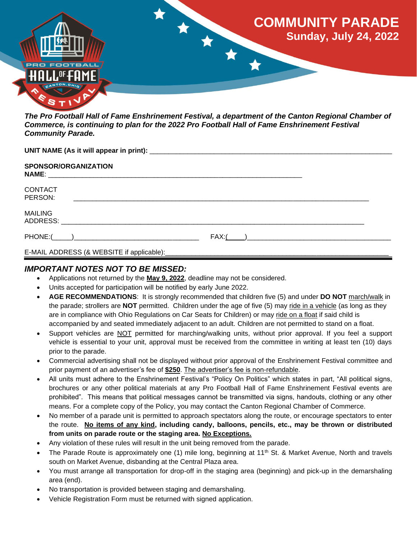

*The Pro Football Hall of Fame Enshrinement Festival, a department of the Canton Regional Chamber of Commerce, is continuing to plan for the 2022 Pro Football Hall of Fame Enshrinement Festival Community Parade.* 

| <b>SPONSOR/ORGANIZATION</b> |  |  |
|-----------------------------|--|--|
| <b>CONTACT</b><br>PERSON:   |  |  |
| <b>MAILING</b>              |  |  |
|                             |  |  |
|                             |  |  |

#### Ī *IMPORTANT NOTES NOT TO BE MISSED:*

- Applications not returned by the **May 9, 2022**, deadline may not be considered.
- Units accepted for participation will be notified by early June 2022.
- **AGE RECOMMENDATIONS**: It is strongly recommended that children five (5) and under **DO NOT** march/walk in the parade; strollers are **NOT** permitted. Children under the age of five (5) may ride in a vehicle (as long as they are in compliance with Ohio Regulations on Car Seats for Children) or may ride on a float if said child is accompanied by and seated immediately adjacent to an adult. Children are not permitted to stand on a float.
- Support vehicles are NOT permitted for marching/walking units, without prior approval. If you feel a support vehicle is essential to your unit, approval must be received from the committee in writing at least ten (10) days prior to the parade.
- Commercial advertising shall not be displayed without prior approval of the Enshrinement Festival committee and prior payment of an advertiser's fee of **\$250**. The advertiser's fee is non-refundable.
- All units must adhere to the Enshrinement Festival's "Policy On Politics" which states in part, "All political signs, brochures or any other political materials at any Pro Football Hall of Fame Enshrinement Festival events are prohibited". This means that political messages cannot be transmitted via signs, handouts, clothing or any other means. For a complete copy of the Policy, you may contact the Canton Regional Chamber of Commerce.
- No member of a parade unit is permitted to approach spectators along the route, or encourage spectators to enter the route. **No items of any kind, including candy, balloons, pencils, etc., may be thrown or distributed from units on parade route or the staging area. No Exceptions.**
- Any violation of these rules will result in the unit being removed from the parade.
- The Parade Route is approximately one (1) mile long, beginning at 11<sup>th</sup> St. & Market Avenue, North and travels south on Market Avenue, disbanding at the Central Plaza area.
- You must arrange all transportation for drop-off in the staging area (beginning) and pick-up in the demarshaling area (end).
- No transportation is provided between staging and demarshaling.
- Vehicle Registration Form must be returned with signed application.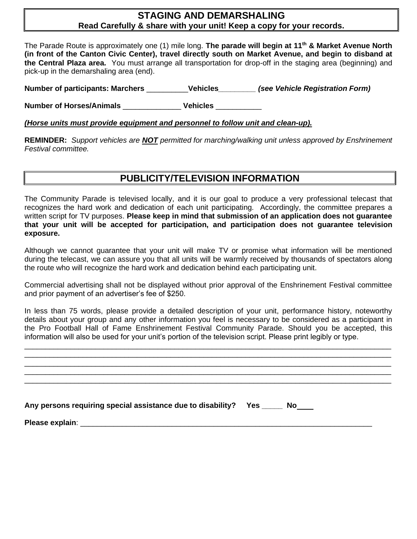### **STAGING AND DEMARSHALING Read Carefully & share with your unit! Keep a copy for your records.**

The Parade Route is approximately one (1) mile long. **The parade will begin at 11th & Market Avenue North (in front of the Canton Civic Center), travel directly south on Market Avenue, and begin to disband at the Central Plaza area.** You must arrange all transportation for drop-off in the staging area (beginning) and pick-up in the demarshaling area (end).

**Number of participants: Marchers** \_\_\_\_\_\_\_\_\_\_**Vehicles***\_\_\_\_\_\_\_\_\_ (see Vehicle Registration Form)* 

**Number of Horses/Animals** \_\_\_\_\_\_\_\_\_\_\_\_\_\_ **Vehicles** \_\_\_\_\_\_\_\_\_\_\_

*(Horse units must provide equipment and personnel to follow unit and clean-up).* 

**REMINDER:** *Support vehicles are NOT permitted for marching/walking unit unless approved by Enshrinement Festival committee.*

## **PUBLICITY/TELEVISION INFORMATION**

The Community Parade is televised locally, and it is our goal to produce a very professional telecast that recognizes the hard work and dedication of each unit participating. Accordingly, the committee prepares a written script for TV purposes. **Please keep in mind that submission of an application does not guarantee that your unit will be accepted for participation, and participation does not guarantee television exposure.**

Although we cannot guarantee that your unit will make TV or promise what information will be mentioned during the telecast, we can assure you that all units will be warmly received by thousands of spectators along the route who will recognize the hard work and dedication behind each participating unit.

Commercial advertising shall not be displayed without prior approval of the Enshrinement Festival committee and prior payment of an advertiser's fee of \$250.

In less than 75 words, please provide a detailed description of your unit, performance history, noteworthy details about your group and any other information you feel is necessary to be considered as a participant in the Pro Football Hall of Fame Enshrinement Festival Community Parade. Should you be accepted, this information will also be used for your unit's portion of the television script. Please print legibly or type.

| Any persons requiring special assistance due to disability?  Yes _____ No____ |  |
|-------------------------------------------------------------------------------|--|
|                                                                               |  |
|                                                                               |  |
|                                                                               |  |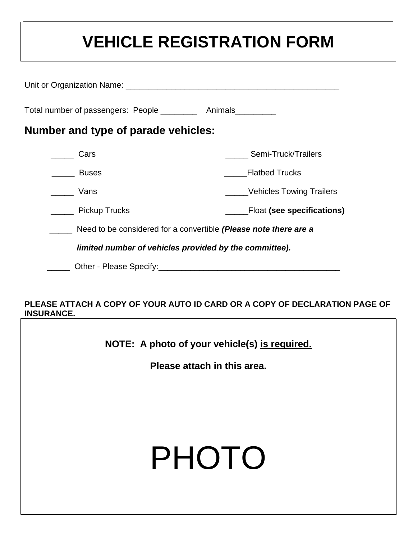# **VEHICLE REGISTRATION FORM**

| Total number of passengers: People ___________ Animals                                                                                                                                                                         |                                                                  |  |
|--------------------------------------------------------------------------------------------------------------------------------------------------------------------------------------------------------------------------------|------------------------------------------------------------------|--|
| Number and type of parade vehicles:                                                                                                                                                                                            |                                                                  |  |
| Cars                                                                                                                                                                                                                           | Semi-Truck/Trailers                                              |  |
| <b>Buses</b>                                                                                                                                                                                                                   | <b>Flatbed Trucks</b>                                            |  |
| <b>Vans</b>                                                                                                                                                                                                                    | Vehicles Towing Trailers                                         |  |
| ______ Pickup Trucks                                                                                                                                                                                                           | ______Float (see specifications)                                 |  |
|                                                                                                                                                                                                                                | Need to be considered for a convertible (Please note there are a |  |
| limited number of vehicles provided by the committee).                                                                                                                                                                         |                                                                  |  |
| Other - Please Specify: Network and the Contract of the Contract of the Contract of the Contract of the Contract of the Contract of the Contract of the Contract of the Contract of the Contract of the Contract of the Contra |                                                                  |  |

### **PLEASE ATTACH A COPY OF YOUR AUTO ID CARD OR A COPY OF DECLARATION PAGE OF INSURANCE.**

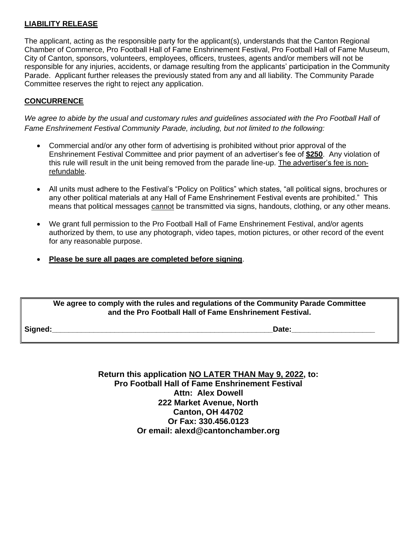#### **LIABILITY RELEASE**

The applicant, acting as the responsible party for the applicant(s), understands that the Canton Regional Chamber of Commerce, Pro Football Hall of Fame Enshrinement Festival, Pro Football Hall of Fame Museum, City of Canton, sponsors, volunteers, employees, officers, trustees, agents and/or members will not be responsible for any injuries, accidents, or damage resulting from the applicants' participation in the Community Parade. Applicant further releases the previously stated from any and all liability. The Community Parade Committee reserves the right to reject any application.

#### **CONCURRENCE**

*We agree to abide by the usual and customary rules and guidelines associated with the Pro Football Hall of Fame Enshrinement Festival Community Parade, including, but not limited to the following:*

- Commercial and/or any other form of advertising is prohibited without prior approval of the Enshrinement Festival Committee and prior payment of an advertiser's fee of **\$250**. Any violation of this rule will result in the unit being removed from the parade line-up. The advertiser's fee is nonrefundable.
- All units must adhere to the Festival's "Policy on Politics" which states, "all political signs, brochures or any other political materials at any Hall of Fame Enshrinement Festival events are prohibited." This means that political messages cannot be transmitted via signs, handouts, clothing, or any other means.
- We grant full permission to the Pro Football Hall of Fame Enshrinement Festival, and/or agents authorized by them, to use any photograph, video tapes, motion pictures, or other record of the event for any reasonable purpose.
- **Please be sure all pages are completed before signing**.

#### **We agree to comply with the rules and regulations of the Community Parade Committee and the Pro Football Hall of Fame Enshrinement Festival.**

**Signed:\_\_\_\_\_\_\_\_\_\_\_\_\_\_\_\_\_\_\_\_\_\_\_\_\_\_\_\_\_\_\_\_\_\_\_\_\_\_\_\_\_\_\_\_\_\_\_\_\_\_\_\_\_Date:\_\_\_\_\_\_\_\_\_\_\_\_\_\_\_\_\_\_\_\_**

**Return this application NO LATER THAN May 9, 2022, to: Pro Football Hall of Fame Enshrinement Festival Attn: Alex Dowell 222 Market Avenue, North Canton, OH 44702 Or Fax: 330.456.0123 Or email: alexd@cantonchamber.org**